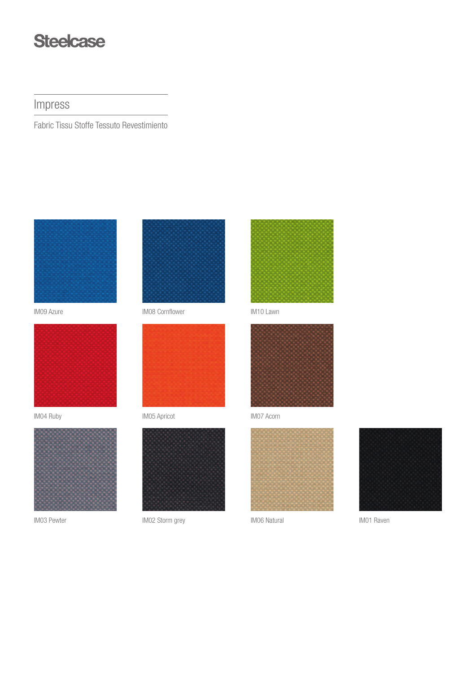## **Steelcase**

Impress

Fabric Tissu Stoffe Tessuto Revestimiento



IM09 Azure



IM04 Ruby



IM03 Pewter



IM08 Cornflower



IM05 Apricot



IM02 Storm grey



IM10 Lawn



IM07 Acorn



IM06 Natural



IM01 Raven